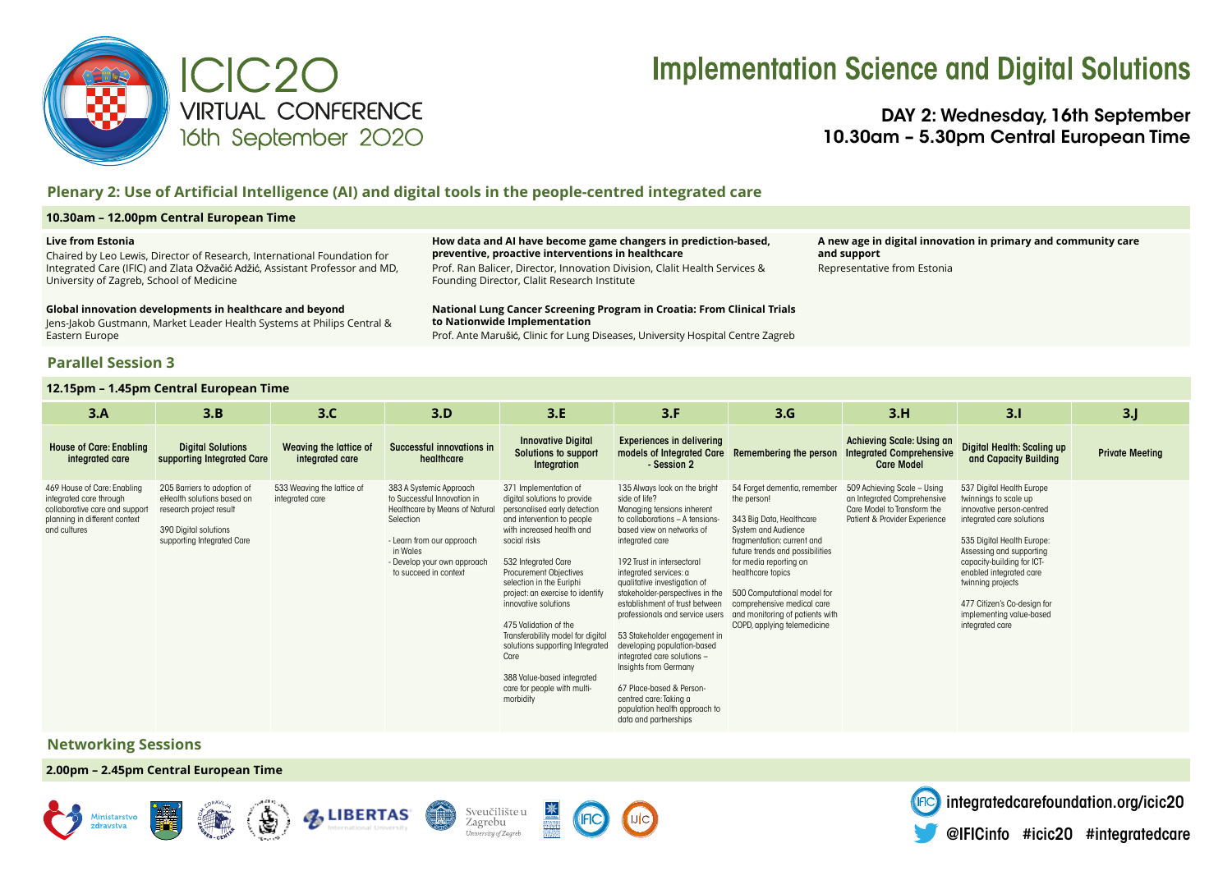

## **Implementation Science and Digital Solutions**

DAY 2: Wednesday, 16th September 10.30am – 5.30pm Central European Time

## **Plenary 2: Use of Artificial Intelligence (AI) and digital tools in the people-centred integrated care**

### **10.30am – 12.00pm Central European Time**

#### **Live from Estonia**

Chaired by Leo Lewis, Director of Research, International Foundation for Integrated Care (IFIC) and Zlata Ožvačić Adžić, Assistant Professor and MD, University of Zagreb, School of Medicine

#### **Global innovation developments in healthcare and beyond**

Jens-Jakob Gustmann, Market Leader Health Systems at Philips Central & Eastern Europe

### **Parallel Session 3**

### **12.15pm – 1.45pm Central European Time**

**How data and AI have become game changers in prediction-based, preventive, proactive interventions in healthcare** 

Prof. Ran Balicer, Director, Innovation Division, Clalit Health Services & Founding Director, Clalit Research Institute

**National Lung Cancer Screening Program in Croatia: From Clinical Trials to Nationwide Implementation**

Prof. Ante Marušić, Clinic for Lung Diseases, University Hospital Centre Zagreb

**A new age in digital innovation in primary and community care and support**  Representative from Estonia

| 3.A                                                                                                                                       | 3.B                                                                                                                                         | 3.C                                           | 3.D                                                                                                                                                                                                    | 3.E                                                                                                                                                                                                                                                                                                                                                                                                                                                                                                 | 3.F                                                                                                                                                                                                                                                                                                                                                                                                                                                                                                                                                                                                    | 3.G                                                                                                                                                                                                                                                                                                                                          | 3.H                                                                                                                        | 3.1                                                                                                                                                                                                                                                                                                                                | 3 <sub>1</sub>         |
|-------------------------------------------------------------------------------------------------------------------------------------------|---------------------------------------------------------------------------------------------------------------------------------------------|-----------------------------------------------|--------------------------------------------------------------------------------------------------------------------------------------------------------------------------------------------------------|-----------------------------------------------------------------------------------------------------------------------------------------------------------------------------------------------------------------------------------------------------------------------------------------------------------------------------------------------------------------------------------------------------------------------------------------------------------------------------------------------------|--------------------------------------------------------------------------------------------------------------------------------------------------------------------------------------------------------------------------------------------------------------------------------------------------------------------------------------------------------------------------------------------------------------------------------------------------------------------------------------------------------------------------------------------------------------------------------------------------------|----------------------------------------------------------------------------------------------------------------------------------------------------------------------------------------------------------------------------------------------------------------------------------------------------------------------------------------------|----------------------------------------------------------------------------------------------------------------------------|------------------------------------------------------------------------------------------------------------------------------------------------------------------------------------------------------------------------------------------------------------------------------------------------------------------------------------|------------------------|
| <b>House of Care: Enabling</b><br>integrated care                                                                                         | <b>Digital Solutions</b><br>supporting Integrated Care                                                                                      | Weaving the lattice of<br>integrated care     | Successful innovations in<br>healthcare                                                                                                                                                                | <b>Innovative Digital</b><br>Solutions to support<br>Integration                                                                                                                                                                                                                                                                                                                                                                                                                                    | <b>Experiences in delivering</b><br>models of Integrated Care<br>- Session 2                                                                                                                                                                                                                                                                                                                                                                                                                                                                                                                           | Remembering the person                                                                                                                                                                                                                                                                                                                       | Achieving Scale: Using an<br><b>Integrated Comprehensive</b><br><b>Care Model</b>                                          | Digital Health: Scaling up<br>and Capacity Building                                                                                                                                                                                                                                                                                | <b>Private Meeting</b> |
| 469 House of Care: Enabling<br>integrated care through<br>collaborative care and support<br>planning in different context<br>and cultures | 205 Barriers to adoption of<br>eHealth solutions based on<br>research project result<br>390 Digital solutions<br>supporting Integrated Care | 533 Weaving the lattice of<br>integrated care | 383 A Systemic Approach<br>to Successful Innovation in<br>Healthcare by Means of Natural<br>Selection<br>- Learn from our approach<br>in Wales<br>- Develop your own approach<br>to succeed in context | 371 Implementation of<br>digital solutions to provide<br>personalised early detection<br>and intervention to people<br>with increased health and<br>social risks<br>532 Integrated Care<br><b>Procurement Obiectives</b><br>selection in the Euriphi<br>project: an exercise to identify<br>innovative solutions<br>475 Validation of the<br>Transferability model for digital<br>solutions supporting Integrated<br>Care<br>388 Value-based integrated<br>care for people with multi-<br>morbidity | 135 Always look on the bright<br>side of life?<br>Managing tensions inherent<br>to collaborations - A tensions-<br>based view on networks of<br>integrated care<br>192 Trust in intersectoral<br>integrated services: a<br>qualitative investigation of<br>stakeholder-perspectives in the<br>establishment of trust between<br>professionals and service users<br>53 Stakeholder engagement in<br>developing population-based<br>integrated care solutions -<br>Insights from Germany<br>67 Place-based & Person-<br>centred care: Taking a<br>population health approach to<br>data and partnerships | 54 Forget dementig, remembe<br>the person!<br>343 Big Data, Healthcare<br>System and Audience<br>fragmentation: current and<br>future trends and possibilities<br>for media reporting on<br>healthcare topics<br>500 Computational model for<br>comprehensive medical care<br>and monitoring of patients with<br>COPD, applying telemedicine | 509 Achieving Scale - Using<br>an Integrated Comprehensive<br>Care Model to Transform the<br>Patient & Provider Experience | 537 Digital Health Europe<br>twinnings to scale up<br>innovative person-centred<br>integrated care solutions<br>535 Digital Health Europe:<br>Assessing and supporting<br>capacity-building for ICT-<br>enabled integrated care<br>twinning projects<br>477 Citizen's Co-design for<br>implementing value-based<br>integrated care |                        |

## **Networking Sessions**

**2.00pm – 2.45pm Central European Time**